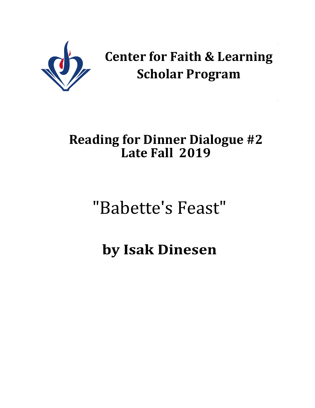

## **Center for Faith & Learning Scholar Program**

### **Reading for Dinner Dialogue #2 Late Fall 2019**

# "Babette's Feast"

# **by Isak Dinesen**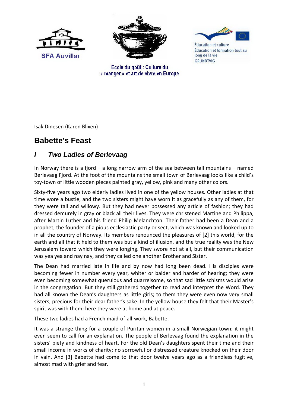





Éducation et culture Éducation et formation tout au long de la vie **GRUNDTVIG** 

Ecole du goût : Culture du « manger » et art de vivre en Europe

Isak Dinesen (Karen Blixen)

#### **Babette's Feast**

#### *I Two Ladies of Berlevaag*

In Norway there is a fjord – a long narrow arm of the sea between tall mountains – named Berlevaag Fjord. At the foot of the mountains the small town of Berlevaag looks like a child's toy-town of little wooden pieces painted gray, yellow, pink and many other colors.

Sixty‐five years ago two elderly ladies lived in one of the yellow houses. Other ladies at that time wore a bustle, and the two sisters might have worn it as gracefully as any of them, for they were tall and willowy. But they had never possessed any article of fashion; they had dressed demurely in gray or black all their lives. They were christened Martine and Philippa, after Martin Luther and his friend Philip Melanchton. Their father had been a Dean and a prophet, the founder of a pious ecclesiastic party or sect, which was known and looked up to in all the country of Norway. Its members renounced the pleasures of [2] this world, for the earth and all that it held to them was but a kind of illusion, and the true reality was the New Jerusalem toward which they were longing. They swore not at all, but their communication was yea yea and nay nay, and they called one another Brother and Sister.

The Dean had married late in life and by now had long been dead. His disciples were becoming fewer in number every year, whiter or balder and harder of hearing; they were even becoming somewhat querulous and quarrelsome, so that sad little schisms would arise in the congregation. But they still gathered together to read and interpret the Word. They had all known the Dean's daughters as little girls; to them they were even now very small sisters, precious for their dear father's sake. In the yellow house they felt that their Master's spirit was with them; here they were at home and at peace.

These two ladies had a French maid‐of‐all‐work, Babette.

It was a strange thing for a couple of Puritan women in a small Norwegian town; it might even seem to call for an explanation. The people of Berlevaag found the explanation in the sisters' piety and kindness of heart. For the old Dean's daughters spent their time and their small income in works of charity; no sorrowful or distressed creature knocked on their door in vain. And [3] Babette had come to that door twelve years ago as a friendless fugitive, almost mad with grief and fear.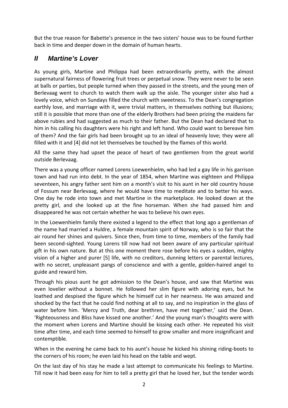But the true reason for Babette's presence in the two sisters' house was to be found further back in time and deeper down in the domain of human hearts.

#### *II Martine's Lover*

As young girls, Martine and Philippa had been extraordinarily pretty, with the almost supernatural fairness of flowering fruit trees or perpetual snow. They were never to be seen at balls or parties, but people turned when they passed in the streets, and the young men of Berlevaag went to church to watch them walk up the aisle. The younger sister also had a lovely voice, which on Sundays filled the church with sweetness. To the Dean's congregation earthly love, and marriage with it, were trivial matters, in themselves nothing but illusions; still it is possible that more than one of the elderly Brothers had been prizing the maidens far above rubies and had suggested as much to their father. But the Dean had declared that to him in his calling his daughters were his right and left hand. Who could want to bereave him of them? And the fair girls had been brought up to an ideal of heavenly love; they were all filled with it and [4] did not let themselves be touched by the flames of this world.

All the same they had upset the peace of heart of two gentlemen from the great world outside Berlevaag.

There was a young officer named Lorens Loewenhielm, who had led a gay life in his garrison town and had run into debt. In the year of 1854, when Martine was eighteen and Philippa seventeen, his angry father sent him on a month's visit to his aunt in her old country house of Fossum near Berlevaag, where he would have time to meditate and to better his ways. One day he rode into town and met Martine in the marketplace. He looked down at the pretty girl, and she looked up at the fine horseman. When she had passed him and disappeared he was not certain whether he was to believe his own eyes.

In the Loewenhielm family there existed a legend to the effect that long ago a gentleman of the name had married a Huldre, a female mountain spirit of Norway, who is so fair that the air round her shines and quivers. Since then, from time to time, members of the family had been second-sighted. Young Lorens till now had not been aware of any particular spiritual gift in his own nature. But at this one moment there rose before his eyes a sudden, mighty vision of a higher and purer [5] life, with no creditors, dunning letters or parental lectures, with no secret, unpleasant pangs of conscience and with a gentle, golden-haired angel to guide and reward him.

Through his pious aunt he got admission to the Dean's house, and saw that Martine was even lovelier without a bonnet. He followed her slim figure with adoring eyes, but he loathed and despised the figure which he himself cut in her nearness. He was amazed and shocked by the fact that he could find nothing at all to say, and no inspiration in the glass of water before him. 'Mercy and Truth, dear brethren, have met together,' said the Dean. 'Righteousness and Bliss have kissed one another.' And the young man's thoughts were with the moment when Lorens and Martine should be kissing each other. He repeated his visit time after time, and each time seemed to himself to grow smaller and more insignificant and contemptible.

When in the evening he came back to his aunt's house he kicked his shining riding-boots to the corners of his room; he even laid his head on the table and wept.

On the last day of his stay he made a last attempt to communicate his feelings to Martine. Till now it had been easy for him to tell a pretty girl that he loved her, but the tender words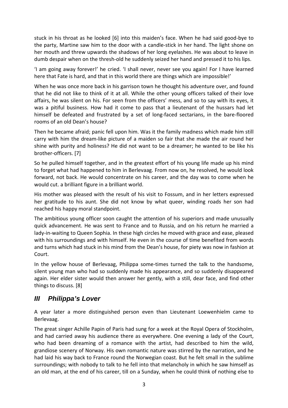stuck in his throat as he looked [6] into this maiden's face. When he had said good‐bye to the party, Martine saw him to the door with a candle‐stick in her hand. The light shone on her mouth and threw upwards the shadows of her long eyelashes. He was about to leave in dumb despair when on the thresh‐old he suddenly seized her hand and pressed it to his lips.

'I am going away forever!' he cried. 'I shall never, never see you again! For I have learned here that Fate is hard, and that in this world there are things which are impossible!'

When he was once more back in his garrison town he thought his adventure over, and found that he did not like to think of it at all. While the other young officers talked of their love affairs, he was silent on his. For seen from the officers' mess, and so to say with its eyes, it was a pitiful business. How had it come to pass that a lieutenant of the hussars had let himself be defeated and frustrated by a set of long-faced sectarians, in the bare-floored rooms of an old Dean's house?

Then he became afraid; panic fell upon him. Was it the family madness which made him still carry with him the dream‐like picture of a maiden so fair that she made the air round her shine with purity and holiness? He did not want to be a dreamer; he wanted to be like his brother‐officers. [7]

So he pulled himself together, and in the greatest effort of his young life made up his mind to forget what had happened to him in Berlevaag. From now on, he resolved, he would look forward, not back. He would concentrate on his career, and the day was to come when he would cut. a brilliant figure in a brilliant world.

His mother was pleased with the result of his visit to Fossum, and in her letters expressed her gratitude to his aunt. She did not know by what queer, winding roads her son had reached his happy moral standpoint.

The ambitious young officer soon caught the attention of his superiors and made unusually quick advancement. He was sent to France and to Russia, and on his return he married a lady-in-waiting to Queen Sophia. In these high circles he moved with grace and ease, pleased with his surroundings and with himself. He even in the course of time benefited from words and turns which had stuck in his mind from the Dean's house, for piety was now in fashion at Court.

In the yellow house of Berlevaag, Philippa some-times turned the talk to the handsome, silent young man who had so suddenly made his appearance, and so suddenly disappeared again. Her elder sister would then answer her gently, with a still, dear face, and find other things to discuss. [8]

#### *III Philippa's Lover*

A year later a more distinguished person even than Lieutenant Loewenhielm came to Berlevaag.

The great singer Achille Papin of Paris had sung for a week at the Royal Opera of Stockholm, and had carried away his audience there as everywhere. One evening a lady of the Court, who had been dreaming of a romance with the artist, had described to him the wild, grandiose scenery of Norway. His own romantic nature was stirred by the narration, and he had laid his way back to France round the Norwegian coast. But he felt small in the sublime surroundings; with nobody to talk to he fell into that melancholy in which he saw himself as an old man, at the end of his career, till on a Sunday, when he could think of nothing else to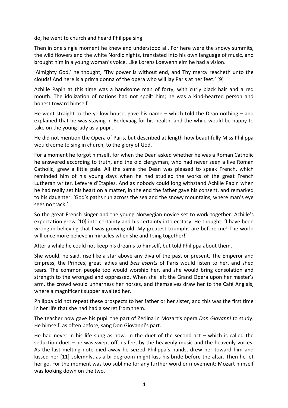do, he went to church and heard Philippa sing.

Then in one single moment he knew and understood all. For here were the snowy summits, the wild flowers and the white Nordic nights, translated into his own language of music, and brought him in a young woman's voice. Like Lorens Loewenhielm he had a vision.

'Almighty God,' he thought, 'Thy power is without end, and Thy mercy reacheth unto the clouds! And here is a prima donna of the opera who will lay Paris at her feet.' [9]

Achille Papin at this time was a handsome man of forty, with curly black hair and a red mouth. The idolization of nations had not spoilt him; he was a kind‐hearted person and honest toward himself.

He went straight to the yellow house, gave his name – which told the Dean nothing – and explained that he was staying in Berlevaag for his health, and the while would be happy to take on the young lady as a pupil.

He did not mention the Opera of Paris, but described at length how beautifully Miss Philippa would come to sing in church, to the glory of God.

For a moment he forgot himself, for when the Dean asked whether he was a Roman Catholic he answered according to truth, and the old clergyman, who had never seen a live Roman Catholic, grew a little pale. All the same the Dean was pleased to speak French, which reminded him of his young days when he had studied the works of the great French Lutheran writer, Lefevre d'Etaples. And as nobody could long withstand Achille Papin when he had really set his heart on a matter, in the end the father gave his consent, and remarked to his daughter: 'God's paths run across the sea and the snowy mountains, where man's eye sees no track.'

So the great French singer and the young Norwegian novice set to work together. Achille's expectation grew [10] into certainty and his certainty into ecstasy. He thought: 'I have been wrong in believing that I was growing old. My greatest triumphs are before me! The world will once more believe in miracles when she and I sing together!'

After a while he could not keep his dreams to himself, but told Philippa about them.

She would, he said, rise like a star above any diva of the past or present. The Emperor and Empress, the Princes, great ladies and *bels esprits* of Paris would listen to her, and shed tears. The common people too would worship her, and she would bring consolation and strength to the wronged and oppressed. When she left the Grand Opera upon her master's arm, the crowd would unharness her horses, and themselves draw her to the Café Anglais, where a magnificent supper awaited her.

Philippa did not repeat these prospects to her father or her sister, and this was the first time in her life that she had had a secret from them.

The teacher now gave his pupil the part of Zerlina in Mozart's opera *Don Giovanni* to study. He himself, as often before, sang Don Giovanni's part.

He had never in his life sung as now. In the duet of the second act – which is called the seduction duet – he was swept off his feet by the heavenly music and the heavenly voices. As the last melting note died away he seized Philippa's hands, drew her toward him and kissed her [11] solemnly, as a bridegroom might kiss his bride before the altar. Then he let her go. For the moment was too sublime for any further word or movement; Mozart himself was looking down on the two.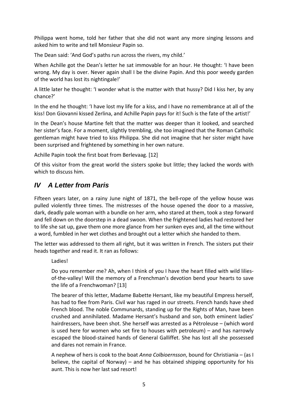Philippa went home, told her father that she did not want any more singing lessons and asked him to write and tell Monsieur Papin so.

The Dean said: 'And God's paths run across the rivers, my child.'

When Achille got the Dean's letter he sat immovable for an hour. He thought: 'I have been wrong. My day is over. Never again shall I be the divine Papin. And this poor weedy garden of the world has lost its nightingale!'

A little later he thought: 'I wonder what is the matter with that hussy? Did I kiss her, by any chance?'

In the end he thought: 'I have lost my life for a kiss, and I have no remembrance at all of the kiss! Don Giovanni kissed Zerlina, and Achille Papin pays for it! Such is the fate of the artist!'

In the Dean's house Martine felt that the matter was deeper than it looked, and searched her sister's face. For a moment, slightly trembling, she too imagined that the Roman Catholic gentleman might have tried to kiss Philippa. She did not imagine that her sister might have been surprised and frightened by something in her own nature.

Achille Papin took the first boat from Berlevaag. [12]

Of this visitor from the great world the sisters spoke but little; they lacked the words with which to discuss him.

#### *IV A Letter from Paris*

Fifteen years later, on a rainy June night of 1871, the bell-rope of the yellow house was pulled violently three times. The mistresses of the house opened the door to a massive, dark, deadly pale woman with a bundle on her arm, who stared at them, took a step forward and fell down on the doorstep in a dead swoon. When the frightened ladies had restored her to life she sat up, gave them one more glance from her sunken eyes and, all the time without a word, fumbled in her wet clothes and brought out a letter which she handed to them.

The letter was addressed to them all right, but it was written in French. The sisters put their heads together and read it. It ran as follows:

Ladies!

Do you remember me? Ah, when I think of you I have the heart filled with wild liliesof-the-valley! Will the memory of a Frenchman's devotion bend your hearts to save the life of a Frenchwoman? [13]

The bearer of this letter, Madame Babette Hersant, like my beautiful Empress herself, has had to flee from Paris. Civil war has raged in our streets. French hands have shed French blood. The noble Communards, standing up for the Rights of Man, have been crushed and annihilated. Madame Hersant's husband and son, both eminent ladies' hairdressers, have been shot. She herself was arrested as a Pétroleuse – (which word is used here for women who set fire to houses with petroleum) – and has narrowly escaped the blood‐stained hands of General Galliffet. She has lost all she possessed and dares not remain in France.

A nephew of hers is cook to the boat *Anna Colbioernsson*, bound for Christiania – (as I believe, the capital of Norway) – and he has obtained shipping opportunity for his aunt. This is now her last sad resort!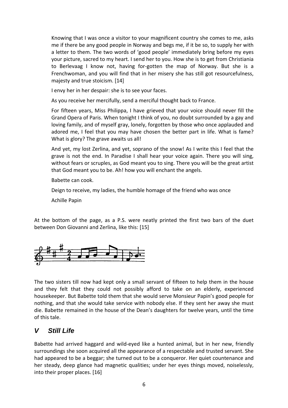Knowing that I was once a visitor to your magnificent country she comes to me, asks me if there be any good people in Norway and begs me, if it be so, to supply her with a letter to them. The two words of 'good people' immediately bring before my eyes your picture, sacred to my heart. I send her to you. How she is to get from Christiania to Berlevaag I know not, having for‐gotten the map of Norway. But she is a Frenchwoman, and you will find that in her misery she has still got resourcefulness, majesty and true stoicism. [14]

I envy her in her despair: she is to see your faces.

As you receive her mercifully, send a merciful thought back to France.

For fifteen years, Miss Philippa, I have grieved that your voice should never fill the Grand Opera of Paris. When tonight I think of you, no doubt surrounded by a gay and loving family, and of myself gray, lonely, forgotten by those who once applauded and adored me, I feel that you may have chosen the better part in life. What is fame? What is glory? The grave awaits us all!

And yet, my lost Zerlina, and yet, soprano of the snow! As I write this I feel that the grave is not the end. In Paradise I shall hear your voice again. There you will sing, without fears or scruples, as God meant you to sing. There you will be the great artist that God meant you to be. Ah! how you will enchant the angels.

Babette can cook.

Deign to receive, my ladies, the humble homage of the friend who was once

Achille Papin

At the bottom of the page, as a P.S. were neatly printed the first two bars of the duet between Don Giovanni and Zerlina, like this: [15]



The two sisters till now had kept only a small servant of fifteen to help them in the house and they felt that they could not possibly afford to take on an elderly, experienced housekeeper. But Babette told them that she would serve Monsieur Papin's good people for nothing, and that she would take service with nobody else. If they sent her away she must die. Babette remained in the house of the Dean's daughters for twelve years, until the time of this tale.

#### *V Still Life*

Babette had arrived haggard and wild‐eyed like a hunted animal, but in her new, friendly surroundings she soon acquired all the appearance of a respectable and trusted servant. She had appeared to be a beggar; she turned out to be a conqueror. Her quiet countenance and her steady, deep glance had magnetic qualities; under her eyes things moved, noiselessly, into their proper places. [16]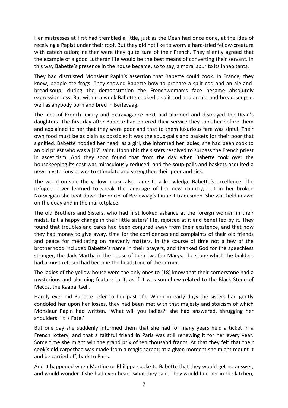Her mistresses at first had trembled a little, just as the Dean had once done, at the idea of receiving a Papist under their roof. But they did not like to worry a hard-tried fellow-creature with catechization; neither were they quite sure of their French. They silently agreed that the example of a good Lutheran life would be the best means of converting their servant. In this way Babette's presence in the house became, so to say, a moral spur to its inhabitants.

They had distrusted Monsieur Papin's assertion that Babette could cook. In France, they knew, people ate frogs. They showed Babette how to prepare a split cod and an ale-andbread‐soup; during the demonstration the Frenchwoman's face became absolutely expression‐less. But within a week Babette cooked a split cod and an ale‐and‐bread‐soup as well as anybody born and bred in Berlevaag.

The idea of French luxury and extravagance next had alarmed and dismayed the Dean's daughters. The first day after Babette had entered their service they took her before them and explained to her that they were poor and that to them luxurious fare was sinful. Their own food must be as plain as possible; it was the soup‐pails and baskets for their poor that signified. Babette nodded her head; as a girl, she informed her ladies, she had been cook to an old priest who was a [17] saint. Upon this the sisters resolved to surpass the French priest in asceticism. And they soon found that from the day when Babette took over the housekeeping its cost was miraculously reduced, and the soup‐pails and baskets acquired a new, mysterious power to stimulate and strengthen their poor and sick.

The world outside the yellow house also came to acknowledge Babette's excellence. The refugee never learned to speak the language of her new country, but in her broken Norwegian she beat down the prices of Berlevaag's flintiest tradesmen. She was held in awe on the quay and in the marketplace.

The old Brothers and Sisters, who had first looked askance at the foreign woman in their midst, felt a happy change in their little sisters' life, rejoiced at it and benefited by it. They found that troubles and cares had been conjured away from their existence, and that now they had money to give away, time for the confidences and complaints of their old friends and peace for meditating on heavenly matters. In the course of time not a few of the brotherhood included Babette's name in their prayers, and thanked God for the speechless stranger, the dark Martha in the house of their two fair Marys. The stone which the builders had almost refused had become the headstone of the corner.

The ladies of the yellow house were the only ones to [18] know that their cornerstone had a mysterious and alarming feature to it, as if it was somehow related to the Black Stone of Mecca, the Kaaba itself.

Hardly ever did Babette refer to her past life. When in early days the sisters had gently condoled her upon her losses, they had been met with that majesty and stoicism of which Monsieur Papin had written. 'What will you ladies?' she had answered, shrugging her shoulders. 'It is Fate.'

But one day she suddenly informed them that she had for many years held a ticket in a French lottery, and that a faithful friend in Paris was still renewing it for her every year. Some time she might win the grand prix of ten thousand francs. At that they felt that their cook's old carpetbag was made from a magic carpet; at a given moment she might mount it and be carried off, back to Paris.

And it happened when Martine or Philippa spoke to Babette that they would get no answer, and would wonder if she had even heard what they said. They would find her in the kitchen,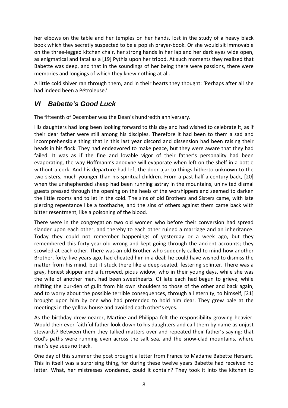her elbows on the table and her temples on her hands, lost in the study of a heavy black book which they secretly suspected to be a popish prayer‐book. Or she would sit immovable on the three‐legged kitchen chair, her strong hands in her lap and her dark eyes wide open, as enigmatical and fatal as a [19] Pythia upon her tripod. At such moments they realized that Babette was deep, and that in the soundings of her being there were passions, there were memories and longings of which they knew nothing at all.

A little cold shiver ran through them, and in their hearts they thought: 'Perhaps after all she had indeed been a Pétroleuse.'

#### *VI Babette's Good Luck*

The fifteenth of December was the Dean's hundredth anniversary.

His daughters had long been looking forward to this day and had wished to celebrate it, as if their dear father were still among his disciples. Therefore it had been to them a sad and incomprehensible thing that in this last year discord and dissension had been raising their heads in his flock. They had endeavored to make peace, but they were aware that they had failed. It was as if the fine and lovable vigor of their father's personality had been evaporating, the way Hoffmann's anodyne will evaporate when left on the shelf in a bottle without a cork. And his departure had left the door ajar to things hitherto unknown to the two sisters, much younger than his spiritual children. From a past half a century back, [20] when the unshepherded sheep had been running astray in the mountains, uninvited dismal guests pressed through the opening on the heels of the worshippers and seemed to darken the little rooms and to let in the cold. The sins of old Brothers and Sisters came, with late piercing repentance like a toothache, and the sins of others against them came back with bitter resentment, like a poisoning of the blood.

There were in the congregation two old women who before their conversion had spread slander upon each other, and thereby to each other ruined a marriage and an inheritance. Today they could not remember happenings of yesterday or a week ago, but they remembered this forty-year-old wrong and kept going through the ancient accounts; they scowled at each other. There was an old Brother who suddenly called to mind how another Brother, forty‐five years ago, had cheated him in a deal; he could have wished to dismiss the matter from his mind, but it stuck there like a deep-seated, festering splinter. There was a gray, honest skipper and a furrowed, pious widow, who in their young days, while she was the wife of another man, had been sweethearts. Of late each had begun to grieve, while shifting the bur‐den of guilt from his own shoulders to those of the other and back again, and to worry about the possible terrible consequences, through all eternity, to himself, [21] brought upon him by one who had pretended to hold him dear. They grew pale at the meetings in the yellow house and avoided each other's eyes.

As the birthday drew nearer, Martine and Philippa felt the responsibility growing heavier. Would their ever-faithful father look down to his daughters and call them by name as unjust stewards? Between them they talked matters over and repeated their father's saying: that God's paths were running even across the salt sea, and the snow-clad mountains, where man's eye sees no track.

One day of this summer the post brought a letter from France to Madame Babette Hersant. This in itself was a surprising thing, for during these twelve years Babette had received no letter. What, her mistresses wondered, could it contain? They took it into the kitchen to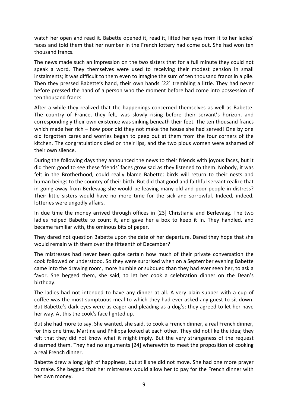watch her open and read it. Babette opened it, read it, lifted her eyes from it to her ladies' faces and told them that her number in the French lottery had come out. She had won ten thousand francs.

The news made such an impression on the two sisters that for a full minute they could not speak a word. They themselves were used to receiving their modest pension in small instalments; it was difficult to them even to imagine the sum of ten thousand francs in a pile. Then they pressed Babette's hand, their own hands [22] trembling a little. They had never before pressed the hand of a person who the moment before had come into possession of ten thousand francs.

After a while they realized that the happenings concerned themselves as well as Babette. The country of France, they felt, was slowly rising before their servant's horizon, and correspondingly their own existence was sinking beneath their feet. The ten thousand francs which made her rich – how poor did they not make the house she had served! One by one old forgotten cares and worries began to peep out at them from the four corners of the kitchen. The congratulations died on their lips, and the two pious women were ashamed of their own silence.

During the following days they announced the news to their friends with joyous faces, but it did them good to see these friends' faces grow sad as they listened to them. Nobody, it was felt in the Brotherhood, could really blame Babette: birds will return to their nests and human beings to the country of their birth. But did that good and faithful servant realize that in going away from Berlevaag she would be leaving many old and poor people in distress? Their little sisters would have no more time for the sick and sorrowful. Indeed, indeed, lotteries were ungodly affairs.

In due time the money arrived through offices in [23] Christiania and Berlevaag. The two ladies helped Babette to count it, and gave her a box to keep it in. They handled, and became familiar with, the ominous bits of paper.

They dared not question Babette upon the date of her departure. Dared they hope that she would remain with them over the fifteenth of December?

The mistresses had never been quite certain how much of their private conversation the cook followed or understood. So they were surprised when on a September evening Babette came into the drawing room, more humble or subdued than they had ever seen her, to ask a favor. She begged them, she said, to let her cook a celebration dinner on the Dean's birthday.

The ladies had not intended to have any dinner at all. A very plain supper with a cup of coffee was the most sumptuous meal to which they had ever asked any guest to sit down. But Babette's dark eyes were as eager and pleading as a dog's; they agreed to let her have her way. At this the cook's face lighted up.

But she had more to say. She wanted, she said, to cook a French dinner, a real French dinner, for this one time. Martine and Philippa looked at each other. They did not like the idea; they felt that they did not know what it might imply. But the very strangeness of the request disarmed them. They had no arguments [24] wherewith to meet the proposition of cooking a real French dinner.

Babette drew a long sigh of happiness, but still she did not move. She had one more prayer to make. She begged that her mistresses would allow her to pay for the French dinner with her own money.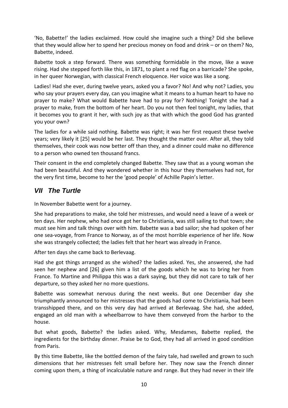'No, Babette!' the ladies exclaimed. How could she imagine such a thing? Did she believe that they would allow her to spend her precious money on food and drink – or on them? No, Babette, indeed.

Babette took a step forward. There was something formidable in the move, like a wave rising. Had she stepped forth like this, in 1871, to plant a red flag on a barricade? She spoke, in her queer Norwegian, with classical French eloquence. Her voice was like a song.

Ladies! Had she ever, during twelve years, asked you a favor? No! And why not? Ladies, you who say your prayers every day, can you imagine what it means to a human heart to have no prayer to make? What would Babette have had to pray for? Nothing! Tonight she had a prayer to make, from the bottom of her heart. Do you not then feel tonight, my ladies, that it becomes you to grant it her, with such joy as that with which the good God has granted you your own?

The ladies for a while said nothing. Babette was right; it was her first request these twelve years; very likely it [25] would be her last. They thought the matter over. After all, they told themselves, their cook was now better off than they, and a dinner could make no difference to a person who owned ten thousand francs.

Their consent in the end completely changed Babette. They saw that as a young woman she had been beautiful. And they wondered whether in this hour they themselves had not, for the very first time, become to her the 'good people' of Achille Papin's letter.

#### *VII The Turtle*

In November Babette went for a journey.

She had preparations to make, she told her mistresses, and would need a leave of a week or ten days. Her nephew, who had once got her to Christiania, was still sailing to that town; she must see him and talk things over with him. Babette was a bad sailor; she had spoken of her one sea‐voyage, from France to Norway, as of the most horrible experience of her life. Now she was strangely collected; the ladies felt that her heart was already in France.

After ten days she came back to Berlevaag.

Had she got things arranged as she wished? the ladies asked. Yes, she answered, she had seen her nephew and [26] given him a list of the goods which he was to bring her from France. To Martine and Philippa this was a dark saying, but they did not care to talk of her departure, so they asked her no more questions.

Babette was somewhat nervous during the next weeks. But one December day she triumphantly announced to her mistresses that the goods had come to Christiania, had been transshipped there, and on this very day had arrived at Berlevaag. She had, she added, engaged an old man with a wheelbarrow to have them conveyed from the harbor to the house.

But what goods, Babette? the ladies asked. Why, Mesdames, Babette replied, the ingredients for the birthday dinner. Praise be to God, they had all arrived in good condition from Paris.

By this time Babette, like the bottled demon of the fairy tale, had swelled and grown to such dimensions that her mistresses felt small before her. They now saw the French dinner coming upon them, a thing of incalculable nature and range. But they had never in their life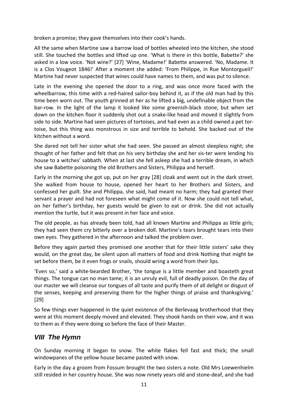broken a promise; they gave themselves into their cook's hands.

All the same when Martine saw a barrow load of bottles wheeled into the kitchen, she stood still. She touched the bottles and lifted up one. 'What is there in this bottle, Babette?' she asked in a low voice. 'Not wine?' [27] 'Wine, Madame!' Babette answered. 'No, Madame. It is a Clos Vougeot 1846!' After a moment she added: 'From Philippe, in Rue Montorgueil!' Martine had never suspected that wines could have names to them, and was put to silence.

Late in the evening she opened the door to a ring, and was once more faced with the wheelbarrow, this time with a red-haired sailor-boy behind it, as if the old man had by this time been worn out. The youth grinned at her as he lifted a big, undefinable object from the bar‐row. In the light of the lamp it looked like some greenish‐black stone, but when set down on the kitchen floor it suddenly shot out a snake‐like head and moved it slightly from side to side. Martine had seen pictures of tortoises, and had even as a child owned a pet tortoise, but this thing was monstrous in size and terrible to behold. She backed out of the kitchen without a word.

She dared not tell her sister what she had seen. She passed an almost sleepless night; she thought of her father and felt that on his very birthday she and her sis‐ter were lending his house to a witches' sabbath. When at last she fell asleep she had a terrible dream, in which she saw Babette poisoning the old Brothers and Sisters, Philippa and herself.

Early in the morning she got up, put on her gray [28] cloak and went out in the dark street. She walked from house to house, opened her heart to her Brothers and Sisters, and confessed her guilt. She and Philippa, she said, had meant no harm; they had granted their servant a prayer and had not foreseen what might come of it. Now she could not tell what, on her father's birthday, her guests would be given to eat or drink. She did not actually mention the turtle, but it was present in her face and voice.

The old people, as has already been told, had all known Martine and Philippa as little girls; they had seen them cry bitterly over a broken doll. Martine's tears brought tears into their own eyes. They gathered in the afternoon and talked the problem over.

Before they again parted they promised one another that for their little sisters' sake they would, on the great day, be silent upon all matters of food and drink Nothing that might be set before them, be it even frogs or snails, should wring a word from their lips.

'Even so,' said a white‐bearded Brother, 'the tongue is a little member and boasteth great things. The tongue can no man tame; it is an unruly evil, full of deadly poison. On the day of our master we will cleanse our tongues of all taste and purify them of all delight or disgust of the senses, keeping and preserving them for the higher things of praise and thanksgiving.' [29]

So few things ever happened in the quiet existence of the Berlevaag brotherhood that they were at this moment deeply moved and elevated. They shook hands on their vow, and it was to them as if they were doing so before the face of their Master.

#### *VIII The Hymn*

On Sunday morning it began to snow. The white flakes fell fast and thick; the small windowpanes of the yellow house became pasted with snow.

Early in the day a groom from Fossum brought the two sisters a note. Old Mrs Loewenhielm still resided in her country house. She was now ninety years old and stone‐deaf, and she had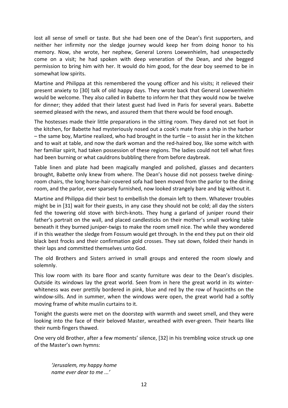lost all sense of smell or taste. But she had been one of the Dean's first supporters, and neither her infirmity nor the sledge journey would keep her from doing honor to his memory. Now, she wrote, her nephew, General Lorens Loewenhielm, had unexpectedly come on a visit; he had spoken with deep veneration of the Dean, and she begged permission to bring him with her. It would do him good, for the dear boy seemed to be in somewhat low spirits.

Martine and Philippa at this remembered the young officer and his visits; it relieved their present anxiety to [30] talk of old happy days. They wrote back that General Loewenhielm would be welcome. They also called in Babette to inform her that they would now be twelve for dinner; they added that their latest guest had lived in Paris for several years. Babette seemed pleased with the news, and assured them that there would be food enough.

The hostesses made their little preparations in the sitting room. They dared not set foot in the kitchen, for Babette had mysteriously nosed out a cook's mate from a ship in the harbor – the same boy, Martine realized, who had brought in the turtle – to assist her in the kitchen and to wait at table, and now the dark woman and the red-haired boy, like some witch with her familiar spirit, had taken possession of these regions. The ladies could not tell what fires had been burning or what cauldrons bubbling there from before daybreak.

Table linen and plate had been magically mangled and polished, glasses and decanters brought, Babette only knew from where. The Dean's house did not possess twelve dining‐ room chairs, the long horse‐hair‐covered sofa had been moved from the parlor to the dining room, and the parlor, ever sparsely furnished, now looked strangely bare and big without it.

Martine and Philippa did their best to embellish the domain left to them. Whatever troubles might be in [31] wait for their guests, in any case they should not be cold; all day the sisters fed the towering old stove with birch-knots. They hung a garland of juniper round their father's portrait on the wall, and placed candlesticks on their mother's small working table beneath it they burned juniper‐twigs to make the room smell nice. The while they wondered if in this weather the sledge from Fossum would get through. In the end they put on their old black best frocks and their confirmation gold crosses. They sat down, folded their hands in their laps and committed themselves unto God.

The old Brothers and Sisters arrived in small groups and entered the room slowly and solemnly.

This low room with its bare floor and scanty furniture was dear to the Dean's disciples. Outside its windows lay the great world. Seen from in here the great world in its winter‐ whiteness was ever prettily bordered in pink, blue and red by the row of hyacinths on the window-sills. And in summer, when the windows were open, the great world had a softly moving frame of white muslin curtains to it.

Tonight the guests were met on the doorstep with warmth and sweet smell, and they were looking into the face of their beloved Master, wreathed with ever-green. Their hearts like their numb fingers thawed.

One very old Brother, after a few moments' silence, [32] in his trembling voice struck up one of the Master's own hymns:

*'Jerusalem, my happy home name ever dear to me ...'*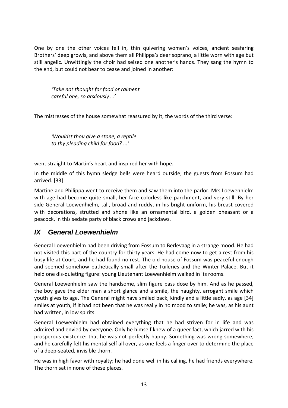One by one the other voices fell in, thin quivering women's voices, ancient seafaring Brothers' deep growls, and above them all Philippa's dear soprano, a little worn with age but still angelic. Unwittingly the choir had seized one another's hands. They sang the hymn to the end, but could not bear to cease and joined in another:

*'Take not thought for food or raiment careful one, so anxiously …'*

The mistresses of the house somewhat reassured by it, the words of the third verse:

*'Wouldst thou give a stone, a reptile to thy pleading child for food? ...'*

went straight to Martin's heart and inspired her with hope.

In the middle of this hymn sledge bells were heard outside; the guests from Fossum had arrived. [33]

Martine and Philippa went to receive them and saw them into the parlor. Mrs Loewenhielm with age had become quite small, her face colorless like parchment, and very still. By her side General Loewenhielm, tall, broad and ruddy, in his bright uniform, his breast covered with decorations, strutted and shone like an ornamental bird, a golden pheasant or a peacock, in this sedate party of black crows and jackdaws.

#### *IX General Loewenhielm*

General Loewenhielm had been driving from Fossum to Berlevaag in a strange mood. He had not visited this part of the country for thirty years. He had come now to get a rest from his busy life at Court, and he had found no rest. The old house of Fossum was peaceful enough and seemed somehow pathetically small after the Tuileries and the Winter Palace. But it held one dis-quieting figure: young Lieutenant Loewenhielm walked in its rooms.

General Loewenhielm saw the handsome, slim figure pass dose by him. And as he passed, the boy gave the elder man a short glance and a smile, the haughty, arrogant smile which youth gives to age. The General might have smiled back, kindly and a little sadly, as age [34] smiles at youth, if it had not been that he was really in no mood to smile; he was, as his aunt had written, in low spirits.

General Loewenhielm had obtained everything that he had striven for in life and was admired and envied by everyone. Only he himself knew of a queer fact, which jarred with his prosperous existence: that he was not perfectly happy. Something was wrong somewhere, and he carefully felt his mental self all over, as one feels a finger over to determine the place of a deep‐seated, invisible thorn.

He was in high favor with royalty; he had done well in his calling, he had friends everywhere. The thorn sat in none of these places.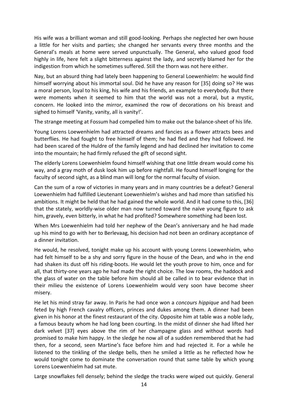His wife was a brilliant woman and still good‐looking. Perhaps she neglected her own house a little for her visits and parties; she changed her servants every three months and the General's meals at home were served unpunctually. The General, who valued good food highly in life, here felt a slight bitterness against the lady, and secretly blamed her for the indigestion from which he sometimes suffered. Still the thorn was not here either.

Nay, but an absurd thing had lately been happening to General Loewenhielm: he would find himself worrying about his immortal soul. Did he have any reason for [35] doing so? He was a moral person, loyal to his king, his wife and his friends, an example to everybody. But there were moments when it seemed to him that the world was not a moral, but a mystic, concern. He looked into the mirror, examined the row of decorations on his breast and sighed to himself 'Vanity, vanity, all is vanity!'.

The strange meeting at Fossum had compelled him to make out the balance-sheet of his life.

Young Lorens Loewenhielm had attracted dreams and fancies as a flower attracts bees and butterflies. He had fought to free himself of them; he had fled and they had followed. He had been scared of the Huldre of the family legend and had declined her invitation to come into the mountain; he had firmly refused the gift of second sight.

The elderly Lorens Loewenhielm found himself wishing that one little dream would come his way, and a gray moth of dusk look him up before nightfall. He found himself longing for the faculty of second sight, as a blind man will long for the normal faculty of vision.

Can the sum of a row of victories in many years and in many countries be a defeat? General Loewenhielm had fulfilled Lieutenant Loewenhielm's wishes and had more than satisfied his ambitions. It might be held that he had gained the whole world. And it had come to this, [36] that the stately, worldly‐wise older man now turned toward the naïve young figure to ask him, gravely, even bitterly, in what he had profited? Somewhere something had been lost.

When Mrs Loewenhielm had told her nephew of the Dean's anniversary and he had made up his mind to go with her to Berlevaag, his decision had not been an ordinary acceptance of a dinner invitation.

He would, he resolved, tonight make up his account with young Lorens Loewenhielm, who had felt himself to be a shy and sorry figure in the house of the Dean, and who in the end had shaken its dust off his riding‐boots. He would let the youth prove to him, once and for all, that thirty‐one years ago he had made the right choice. The low rooms, the haddock and the glass of water on the table before him should all be called in to bear evidence that in their milieu the existence of Lorens Loewenhielm would very soon have become sheer misery.

He let his mind stray far away. In Paris he had once won a *concours hippique* and had been feted by high French cavalry officers, princes and dukes among them. A dinner had been given in his honor at the finest restaurant of the city. Opposite him at table was a noble lady, a famous beauty whom he had long been courting. In the midst of dinner she had lifted her dark velvet [37] eyes above the rim of her champagne glass and without words had promised to make him happy. In the sledge he now all of a sudden remembered that he had then, for a second, seen Martine's face before him and had rejected it. For a while he listened to the tinkling of the sledge bells, then he smiled a little as he reflected how he would tonight come to dominate the conversation round that same table by which young Lorens Loewenhielm had sat mute.

Large snowflakes fell densely; behind the sledge the tracks were wiped out quickly. General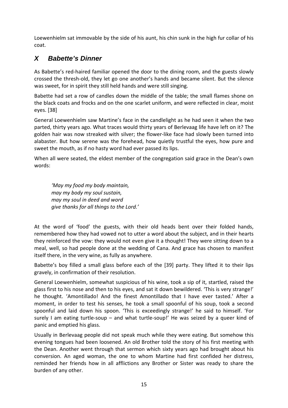Loewenhielm sat immovable by the side of his aunt, his chin sunk in the high fur collar of his coat.

#### *X Babette's Dinner*

As Babette's red-haired familiar opened the door to the dining room, and the guests slowly crossed the thresh‐old, they let go one another's hands and became silent. But the silence was sweet, for in spirit they still held hands and were still singing.

Babette had set a row of candles down the middle of the table; the small flames shone on the black coats and frocks and on the one scarlet uniform, and were reflected in clear, moist eyes. [38]

General Loewenhielm saw Martine's face in the candlelight as he had seen it when the two parted, thirty years ago. What traces would thirty years of Berlevaag life have left on it? The golden hair was now streaked with silver; the flower‐like face had slowly been turned into alabaster. But how serene was the forehead, how quietly trustful the eyes, how pure and sweet the mouth, as if no hasty word had ever passed its lips.

When all were seated, the eldest member of the congregation said grace in the Dean's own words:

*'May my food my body maintain, may my body my soul sustain, may my soul in deed and word give thanks for all things to the Lord.'*

At the word of 'food' the guests, with their old heads bent over their folded hands, remembered how they had vowed not to utter a word about the subject, and in their hearts they reinforced the vow: they would not even give it a thought! They were sitting down to a meal, well, so had people done at the wedding of Cana. And grace has chosen to manifest itself there, in the very wine, as fully as anywhere.

Babette's boy filled a small glass before each of the [39] party. They lifted it to their lips gravely, in confirmation of their resolution.

General Loewenhielm, somewhat suspicious of his wine, took a sip of it, startled, raised the glass first to his nose and then to his eyes, and sat it down bewildered. 'This is very strange!' he thought. 'Amontillado! And the finest Amontillado that I have ever tasted.' After a moment, in order to test his senses, he took a small spoonful of his soup, took a second spoonful and laid down his spoon. 'This is exceedingly strange!' he said to himself. 'For surely I am eating turtle-soup – and what turtle-soup!' He was seized by a queer kind of panic and emptied his glass.

Usually in Berlevaag people did not speak much while they were eating. But somehow this evening tongues had been loosened. An old Brother told the story of his first meeting with the Dean. Another went through that sermon which sixty years ago had brought about his conversion. An aged woman, the one to whom Martine had first confided her distress, reminded her friends how in all afflictions any Brother or Sister was ready to share the burden of any other.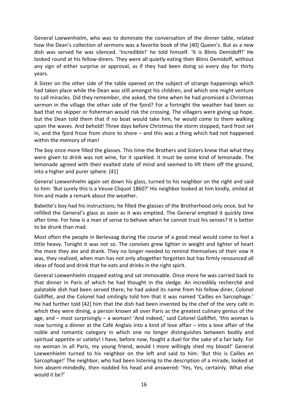General Loewenhielm, who was to dominate the conversation of the dinner table, related how the Dean's collection of sermons was a favorite book of the [40] Queen's. But as a new dish was served he was silenced. 'Incredible!' he told himself. 'It is Blinis Demidoff!' He looked round at his fellow‐diners. They were all quietly eating their Blinis Demidoff, without any sign of either surprise or approval, as if they had been doing so every day for thirty years.

A Sister on the other side of the table opened on the subject of strange happenings which had taken place while the Dean was still amongst his children, and which one might venture to call miracles. Did they remember, she asked, the time when he had promised a Christmas sermon in the village the other side of the fjord? For a fortnight the weather had been so bad that no skipper or fisherman would risk the crossing. The villagers were giving up hope, but the Dean told them that if no boat would take him, he would come to them walking upon the waves. And behold! Three days before Christmas the storm stopped, hard frost set in, and the fjord froze from shore to shore – and this was a thing which had not happened within the memory of man!

The boy once more filled the glasses. This time the Brothers and Sisters knew that what they were given to drink was not wine, for it sparkled. It must be some kind of lemonade. The lemonade agreed with their exalted state of mind and seemed to lift them off the ground, into a higher and purer sphere. [41]

General Loewenhielm again set down his glass, turned to his neighbor on the right and said to him: 'But surely this is a Veuve Cliquot 1860?' His neighbor looked at him kindly, smiled at him and made a remark about the weather.

Babette's boy had his instructions; he filled the glasses of the Brotherhood only once, but he refilled the General's glass as soon as it was emptied. The General emptied it quickly time after time. For how is a man of sense to behave when he cannot trust his senses? It is better to be drunk than mad.

Most often the people in Berlevaag during the course of a good meal would come to feel a little heavy. Tonight it was not so. The *convives* grew lighter in weight and lighter of heart the more they ate and drank. They no longer needed to remind themselves of their vow It was, they realized, when man has not only altogether forgotten but has firmly renounced all ideas of food and drink that he eats and drinks in the right spirit.

General Loewenhielm stopped eating and sat immovable. Once more he was carried back to that dinner in Paris of which he had thought in the sledge. An incredibly recherché and palatable dish had been served there; he had asked its name from his fellow diner, Colonel Galliffet, and the Colonel had smilingly told him that it was named 'Cailles en Sarcophage.' He had further told [42] him that the dish had been invented by the chef of the very café in which they were dining, a person known all over Paris as the greatest culinary genius of the age, and – most surprisingly – a woman! 'And indeed,' said Colonel Galliffet, 'this woman is now turning a dinner at the Café Anglais into a kind of love affair – into a love affair of the noble and romantic category in which one no longer distinguishes between bodily and spiritual appetite or satiety! I have, before now, fought a duel for the sake of a fair lady. For no woman in all Paris, my young friend, would I more willingly shed my blood!' General Loewenhielm turned to his neighbor on the left and said to him: 'But this is Cailles en Sarcophage!' The neighbor, who had been listening to the description of a mirade, looked at him absent-mindedly, then nodded his head and answered: 'Yes, Yes, certainly. What else would it be?'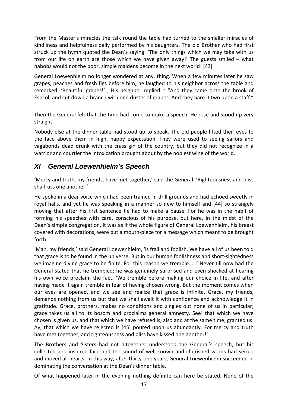From the Master's miracles the talk round the table had turned to the smaller miracles of kindliness and helpfulness daily performed by his daughters. The old Brother who had first struck up the hymn quoted the Dean's saying: 'The only things which we may take with us from our life on earth are those which we have given away!' The guests smiled – what nabobs would not the poor, simple maidens become in the next world! [43]

General Loewenhielm no longer wondered at any, thing. When a few minutes later he saw grapes, peaches and fresh figs before him, he laughed to his neighbor across the table and remarked: 'Beautiful grapes!' ; His neighbor replied: ' "And they came onto the brook of Eshcol, and cut down a branch with one duster of grapes. And they bare it two upon a staff." '

Then the General felt that the time had come to make a speech. He rose and stood up very straight.

Nobody else at the dinner table had stood up to speak. The old people lifted their eyes to the face above them in high, happy expectation. They were used to seeing sailors and vagabonds dead drunk with the crass gin of the country, but they did not recognize in a warrior and courtier the intoxication brought about by the noblest wine of the world.

#### *XI General Loewenhielm's Speech*

'Mercy and truth, my friends, have met together,' said the General. 'Righteousness and bliss shall kiss one another.'

He spoke in a dear voice which had been trained in drill grounds and had echoed sweetly in royal halls, and yet he was speaking in a manner so new to himself and [44] so strangely moving that after his first sentence he had to make a pause. For he was in the habit of forming his speeches with care, conscious of his purpose, but here, in the midst of the Dean's simple congregation, it was as if the whole figure of General Loewenhielm, his breast covered with decorations, were but a mouth‐piece for a message which meant to be brought forth.

'Man, my friends,' said General Loewenhielm, 'is frail and foolish. We have all of us been told that grace is to be found in the universe. But in our human foolishness and short‐sightedness we imagine divine grace to be finite. For this reason we tremble. . .' Never till now had the General stated that he trembled; he was genuinely surprised and even shocked at hearing his own voice proclaim the fact. 'We tremble before making our choice in life, and after having made it again tremble in fear of having chosen wrong. But the moment comes when our eyes are opened, and we see and realize that grace is infinite. Grace, my friends, demands nothing from us but that we shall await it with confidence and acknowledge it in gratitude. Grace, brothers, makes no conditions and singles out none of us in particular; grace takes us all to its bosom and proclaims general amnesty. See! that which we have chosen is given us, and that which we have refused is, also and at the same time, granted us. Ay, that which we have rejected is [45] poured upon us abundantly. For mercy and truth have met together, and righteousness and bliss have kissed one another!'

The Brothers and Sisters had not altogether understood the General's speech, but his collected and inspired face and the sound of well‐known and cherished words had seized and moved all hearts. In this way, after thirty‐one years, General Loewenhielm succeeded in dominating the conversation at the Dean's dinner table.

Of what happened later in the evening nothing definite can here be stated. None of the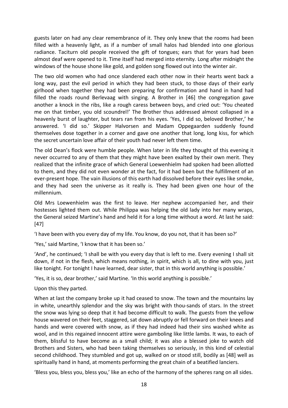guests later on had any clear remembrance of it. They only knew that the rooms had been filled with a heavenly light, as if a number of small halos had blended into one glorious radiance. Taciturn old people received the gift of tongues; ears that for years had been almost deaf were opened to it. Time itself had merged into eternity. Long after midnight the windows of the house shone like gold, and golden song flowed out into the winter air.

The two old women who had once slandered each other now in their hearts went back a long way, past the evil period in which they had been stuck, to those days of their early girlhood when together they had been preparing for confirmation and hand in hand had filled the roads round Berlevaag with singing. A Brother in [46] the congregation gave another a knock in the ribs, like a rough caress between boys, and cried out: 'You cheated me on that timber, you old scoundrel!' The Brother thus addressed almost collapsed in a heavenly burst of laughter, but tears ran from his eyes. 'Yes, I did so, beloved Brother,' he answered. 'I did so.' Skipper Halvorsen and Madam Oppegaarden suddenly found themselves dose together in a corner and gave one another that long, long kiss, for which the secret uncertain love affair of their youth had never left them time.

The old Dean's flock were humble people. When later in life they thought of this evening it never occurred to any of them that they might have been exalted by their own merit. They realized that the infinite grace of which General Loewenhielm had spoken had been allotted to them, and they did not even wonder at the fact, for it had been but the fulfillment of an ever-present hope. The vain illusions of this earth had dissolved before their eyes like smoke, and they had seen the universe as it really is. They had been given one hour of the millennium.

Old Mrs Loewenhielm was the first to leave. Her nephew accompanied her, and their hostesses lighted them out. While Philippa was helping the old lady into her many wraps, the General seized Martine's hand and held it for a long time without a word. At last he said: [47]

'I have been with you every day of my life. You know, do you not, that it has been so?'

'Yes,' said Martine, 'I know that it has been so.'

'And', he continued; 'I shall be with you every day that is left to me. Every evening I shall sit down, if not in the flesh, which means nothing, in spirit, which is all, to dine with you, just like tonight. For tonight I have learned, dear sister, that in this world anything is possible.'

'Yes, it is so, dear brother,' said Martine. 'In this world anything is possible.'

Upon this they parted.

When at last the company broke up it had ceased to snow. The town and the mountains lay in white, unearthly splendor and the sky was bright with thou-sands of stars. In the street the snow was lying so deep that it had become difficult to walk. The guests from the yellow house wavered on their feet, staggered, sat down abruptly or fell forward on their knees and hands and were covered with snow, as if they had indeed had their sins washed white as wool, and in this regained innocent attire were gamboling like little lambs. It was, to each of them, blissful to have become as a small child; it was also a blessed joke to watch old Brothers and Sisters, who had been taking themselves so seriously, in this kind of celestial second childhood. They stumbled and got up, walked on or stood still, bodily as [48] well as spiritually hand in hand, at moments performing the great chain of a beatified lanciers.

'Bless you, bless you, bless you,' like an echo of the harmony of the spheres rang on all sides.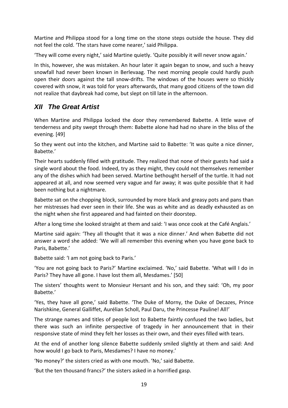Martine and Philippa stood for a long time on the stone steps outside the house. They did not feel the cold. 'The stars have come nearer,' said Philippa.

'They will come every night,' said Martine quietly. 'Quite possibly it will never snow again.'

In this, however, she was mistaken. An hour later it again began to snow, and such a heavy snowfall had never been known in Berlevaag. The next morning people could hardly push open their doors against the tall snow‐drifts. The windows of the houses were so thickly covered with snow, it was told for years afterwards, that many good citizens of the town did not realize that daybreak had come, but slept on till late in the afternoon.

#### *XII The Great Artist*

When Martine and Philippa locked the door they remembered Babette. A little wave of tenderness and pity swept through them: Babette alone had had no share in the bliss of the evening. [49]

So they went out into the kitchen, and Martine said to Babette: 'It was quite a nice dinner, Babette.'

Their hearts suddenly filled with gratitude. They realized that none of their guests had said a single word about the food. Indeed, try as they might, they could not themselves remember any of the dishes which had been served. Martine bethought herself of the turtle. It had not appeared at all, and now seemed very vague and far away; it was quite possible that it had been nothing but a nightmare.

Babette sat on the chopping block, surrounded by more black and greasy pots and pans than her mistresses had ever seen in their life. She was as white and as deadly exhausted as on the night when she first appeared and had fainted on their doorstep.

After a long time she looked straight at them and said: 'I was once cook at the Café Anglais.'

Martine said again: 'They all thought that it was a nice dinner.' And when Babette did not answer a word she added: 'We will all remember this evening when you have gone back to Paris, Babette.'

Babette said: 'I am not going back to Paris.'

'You are not going back to Paris?' Martine exclaimed. 'No,' said Babette. 'What will I do in Paris? They have all gone. I have lost them all, Mesdames.' [50]

The sisters' thoughts went to Monsieur Hersant and his son, and they said: 'Oh, my poor Babette.'

'Yes, they have all gone,' said Babette. 'The Duke of Morny, the Duke of Decazes, Prince Narishkine, General Galliffet, Aurélian Scholl, Paul Daru, the Princesse Pauline! All!'

The strange names and titles of people lost to Babette faintly confused the two ladies, but there was such an infinite perspective of tragedy in her announcement that in their responsive state of mind they felt her losses as their own, and their eyes filled with tears.

At the end of another long silence Babette suddenly smiled slightly at them and said: And how would I go back to Paris, Mesdames? I have no money.'

'No money?' the sisters cried as with one mouth. 'No,' said Babette.

'But the ten thousand francs?' the sisters asked in a horrified gasp.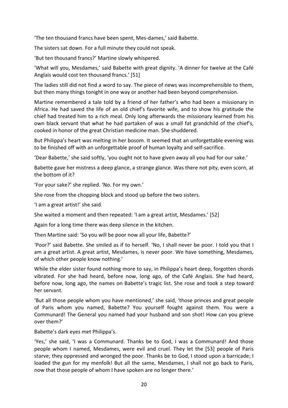'The ten thousand francs have been spent, Mes‐dames,' said Babette.

The sisters sat down. For a full minute they could not speak.

'But ten thousand francs?' Martine slowly whispered.

'What will you, Mesdames,' said Babette with great dignity. 'A dinner for twelve at the Café Anglais would cost ten thousand francs.' [51]

The ladies still did not find a word to say. The piece of news was incomprehensible to them, but then many things tonight in one way or another had been beyond comprehension.

Martine remembered a tale told by a friend of her father's who had been a missionary in Africa. He had saved the life of an old chief's favorite wife, and to show his gratitude the chief had treated him to a rich meal. Only long afterwards the missionary learned from his own black servant that what he had partaken of was a small fat grandchild of the chief's, cooked in honor of the great Christian medicine man. She shuddered.

But Philippa's heart was melting in her bosom. It seemed that an unforgettable evening was to be finished off with an unforgettable proof of human loyalty and self‐sacrifice.

'Dear Babette,' she said softly, 'you ought not to have given away all you had for our sake.'

Babette gave her mistress a deep glance, a strange glance. Was there not pity, even scorn, at the bottom of it?

'For your sake?' she replied. 'No. For my own.'

She rose from the chopping block and stood up before the two sisters.

'I am a great artist!' she said.

She waited a moment and then repeated: 'I am a great artist, Mesdames.' [52]

Again for a long time there was deep silence in the kitchen.

Then Martine said: 'So you will be poor now all your life, Babette?'

'Poor?' said Babette. She smiled as if to herself. 'No, I shall never be poor. I told you that I am a great artist. A great artist, Mesdames, is never poor. We have something, Mesdames, of which other people know nothing.'

While the elder sister found nothing more to say, in Philippa's heart deep, forgotten chords vibrated. For she had heard, before now, long ago, of the Café Anglais. She had heard, before now, long ago, the names on Babette's tragic list. She rose and took a step toward her servant.

'But all those people whom you have mentioned,' she said, 'those princes and great people of Paris whom you named, Babette? You yourself fought against them. You were a Communard! The General you named had your husband and son shot! How can you grieve over them?'

Babette's dark eyes met Philippa's.

'Yes,' she said, 'I was a Communard. Thanks be to God, I was a Communard! And those people whom I named, Mesdames, were evil and cruel. They let the [53] people of Paris starve; they oppressed and wronged the poor. Thanks be to God, I stood upon a barricade; I loaded the gun for my menfolk! But all the same, Mesdames, I shall not go back to Paris, now that those people of whom I have spoken are no longer there.'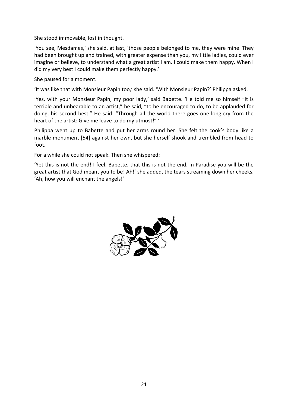She stood immovable, lost in thought.

'You see, Mesdames,' she said, at last, 'those people belonged to me, they were mine. They had been brought up and trained, with greater expense than you, my little ladies, could ever imagine or believe, to understand what a great artist I am. I could make them happy. When I did my very best I could make them perfectly happy.'

She paused for a moment.

'It was like that with Monsieur Papin too,' she said. 'With Monsieur Papin?' Philippa asked.

'Yes, with your Monsieur Papin, my poor lady,' said Babette. 'He told me so himself "It is terrible and unbearable to an artist," he said, "to be encouraged to do, to be applauded for doing, his second best." He said: "Through all the world there goes one long cry from the heart of the artist: Give me leave to do my utmost!" '

Philippa went up to Babette and put her arms round her. She felt the cook's body like a marble monument [54] against her own, but she herself shook and trembled from head to foot.

For a while she could not speak. Then she whispered:

'Yet this is not the end! I feel, Babette, that this is not the end. In Paradise you will be the great artist that God meant you to be! Ah!' she added, the tears streaming down her cheeks. 'Ah, how you will enchant the angels!'